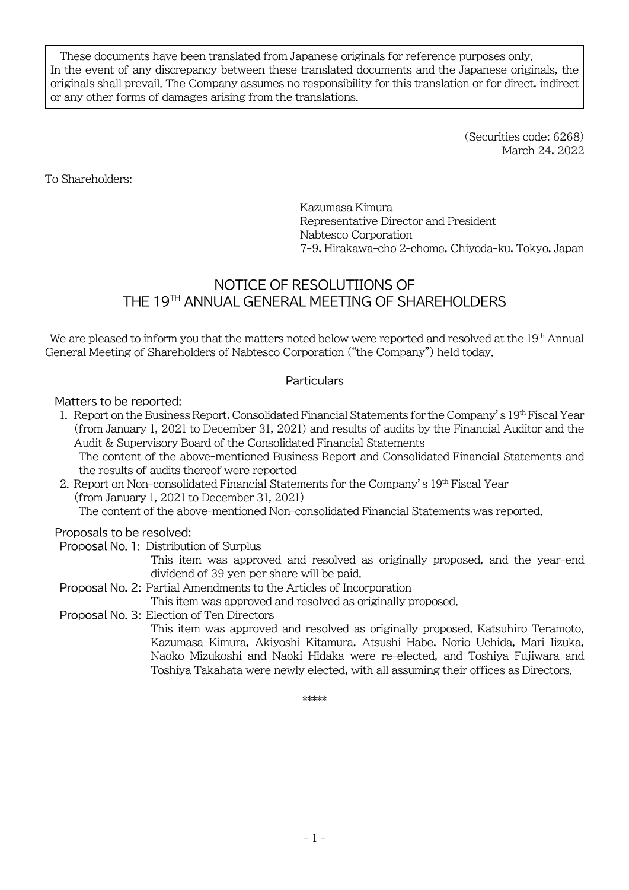These documents have been translated from Japanese originals for reference purposes only. In the event of any discrepancy between these translated documents and the Japanese originals, the originals shall prevail. The Company assumes no responsibility for this translation or for direct, indirect or any other forms of damages arising from the translations.

> (Securities code: 6268) March 24, 2022

To Shareholders:

Kazumasa Kimura Representative Director and President Nabtesco Corporation 7-9, Hirakawa-cho 2-chome, Chiyoda-ku, Tokyo, Japan

## NOTICE OF RESOLUTIIONS OF THE 19 TH ANNUAL GENERAL MEETING OF SHAREHOLDERS

We are pleased to inform you that the matters noted below were reported and resolved at the 19<sup>th</sup> Annual General Meeting of Shareholders of Nabtesco Corporation ("the Company") held today.

## **Particulars**

Matters to be reported:

1. Report on the Business Report, Consolidated Financial Statements for the Company's 19th Fiscal Year (from January 1, 2021 to December 31, 2021) and results of audits by the Financial Auditor and the Audit & Supervisory Board of the Consolidated Financial Statements

The content of the above-mentioned Business Report and Consolidated Financial Statements and the results of audits thereof were reported

2. Report on Non-consolidated Financial Statements for the Company's 19th Fiscal Year (from January 1, 2021 to December 31, 2021)

The content of the above-mentioned Non-consolidated Financial Statements was reported.

## Proposals to be resolved:

Proposal No. 1: Distribution of Surplus

This item was approved and resolved as originally proposed, and the year-end dividend of 39 yen per share will be paid.

Proposal No. 2: Partial Amendments to the Articles of Incorporation

This item was approved and resolved as originally proposed.

Proposal No. 3: Election of Ten Directors

This item was approved and resolved as originally proposed. Katsuhiro Teramoto, Kazumasa Kimura, Akiyoshi Kitamura, Atsushi Habe, Norio Uchida, Mari Iizuka, Naoko Mizukoshi and Naoki Hidaka were re-elected, and Toshiya Fujiwara and Toshiya Takahata were newly elected, with all assuming their offices as Directors.

\*\*\*\*\*